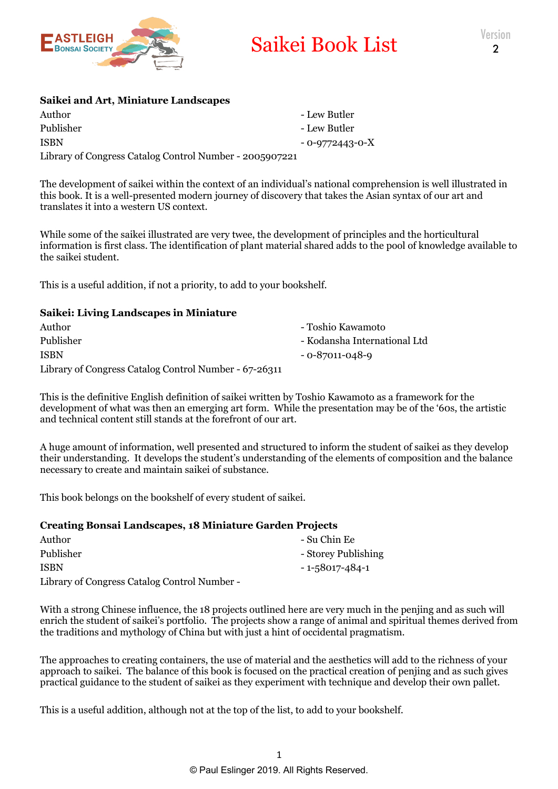

# Saikei Book List

### **Saikei and Art, Miniature Landscapes**

Author - Lew Butler Publisher - Lew Butler ISBN - 0-9772443-0-X Library of Congress Catalog Control Number - 2005907221

The development of saikei within the context of an individual's national comprehension is well illustrated in this book. It is a well-presented modern journey of discovery that takes the Asian syntax of our art and translates it into a western US context.

While some of the saikei illustrated are very twee, the development of principles and the horticultural information is first class. The identification of plant material shared adds to the pool of knowledge available to the saikei student.

This is a useful addition, if not a priority, to add to your bookshelf.

## **Saikei: Living Landscapes in Miniature**

| Author                                                | - Toshio Kawamoto            |
|-------------------------------------------------------|------------------------------|
| Publisher                                             | - Kodansha International Ltd |
| ISBN                                                  | - 0-87011-048-9              |
| Library of Congress Catalog Control Number - 67-26311 |                              |

This is the definitive English definition of saikei written by Toshio Kawamoto as a framework for the development of what was then an emerging art form. While the presentation may be of the '60s, the artistic and technical content still stands at the forefront of our art.

A huge amount of information, well presented and structured to inform the student of saikei as they develop their understanding. It develops the student's understanding of the elements of composition and the balance necessary to create and maintain saikei of substance.

This book belongs on the bookshelf of every student of saikei.

#### **Creating Bonsai Landscapes, 18 Miniature Garden Projects**

| Author                                       | - Su Chin Ee        |
|----------------------------------------------|---------------------|
| Publisher                                    | - Storey Publishing |
| <b>ISBN</b>                                  | - 1-58017-484-1     |
| Library of Congress Catalog Control Number - |                     |

With a strong Chinese influence, the 18 projects outlined here are very much in the penjing and as such will enrich the student of saikei's portfolio. The projects show a range of animal and spiritual themes derived from the traditions and mythology of China but with just a hint of occidental pragmatism.

The approaches to creating containers, the use of material and the aesthetics will add to the richness of your approach to saikei. The balance of this book is focused on the practical creation of penjing and as such gives practical guidance to the student of saikei as they experiment with technique and develop their own pallet.

This is a useful addition, although not at the top of the list, to add to your bookshelf.

- 
- 
-